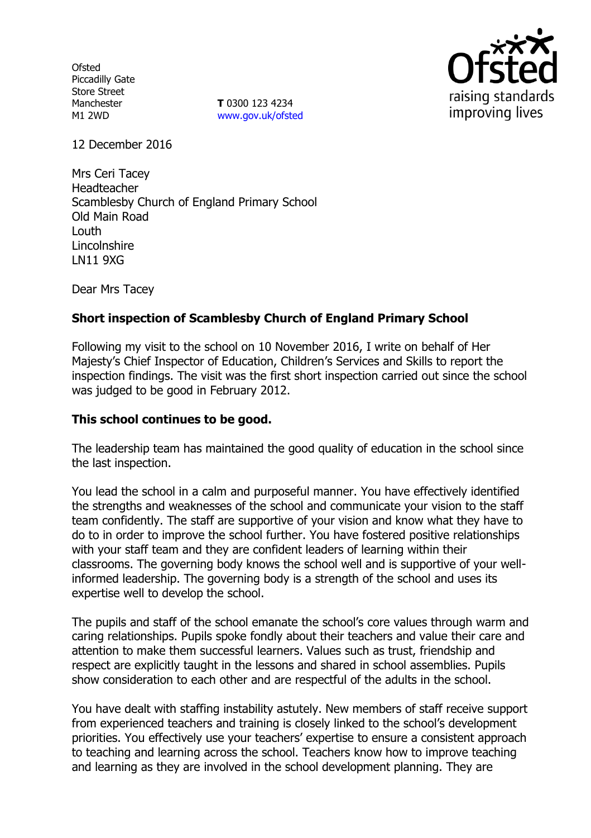**Ofsted** Piccadilly Gate Store Street Manchester M1 2WD

**T** 0300 123 4234 www.gov.uk/ofsted



12 December 2016

Mrs Ceri Tacey Headteacher Scamblesby Church of England Primary School Old Main Road Louth **Lincolnshire** LN11 9XG

Dear Mrs Tacey

# **Short inspection of Scamblesby Church of England Primary School**

Following my visit to the school on 10 November 2016, I write on behalf of Her Majesty's Chief Inspector of Education, Children's Services and Skills to report the inspection findings. The visit was the first short inspection carried out since the school was judged to be good in February 2012.

### **This school continues to be good.**

The leadership team has maintained the good quality of education in the school since the last inspection.

You lead the school in a calm and purposeful manner. You have effectively identified the strengths and weaknesses of the school and communicate your vision to the staff team confidently. The staff are supportive of your vision and know what they have to do to in order to improve the school further. You have fostered positive relationships with your staff team and they are confident leaders of learning within their classrooms. The governing body knows the school well and is supportive of your wellinformed leadership. The governing body is a strength of the school and uses its expertise well to develop the school.

The pupils and staff of the school emanate the school's core values through warm and caring relationships. Pupils spoke fondly about their teachers and value their care and attention to make them successful learners. Values such as trust, friendship and respect are explicitly taught in the lessons and shared in school assemblies. Pupils show consideration to each other and are respectful of the adults in the school.

You have dealt with staffing instability astutely. New members of staff receive support from experienced teachers and training is closely linked to the school's development priorities. You effectively use your teachers' expertise to ensure a consistent approach to teaching and learning across the school. Teachers know how to improve teaching and learning as they are involved in the school development planning. They are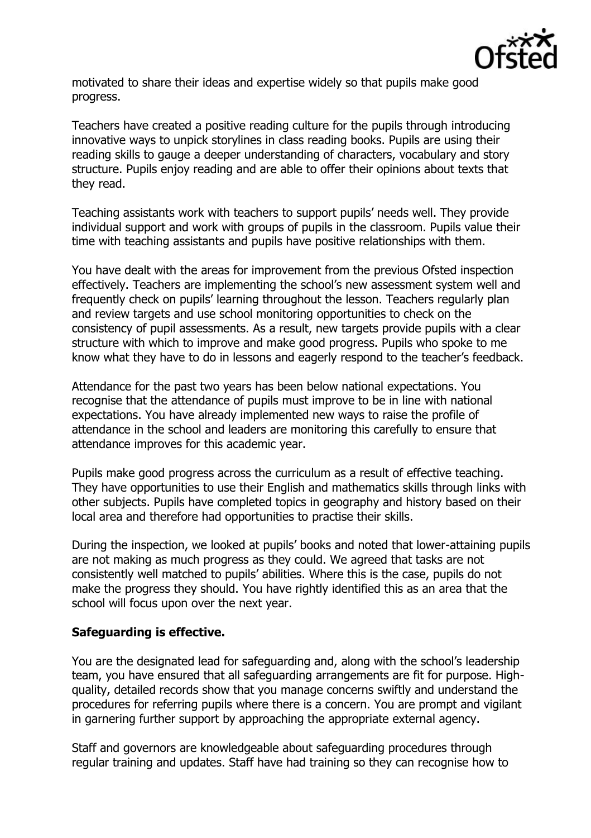

motivated to share their ideas and expertise widely so that pupils make good progress.

Teachers have created a positive reading culture for the pupils through introducing innovative ways to unpick storylines in class reading books. Pupils are using their reading skills to gauge a deeper understanding of characters, vocabulary and story structure. Pupils enjoy reading and are able to offer their opinions about texts that they read.

Teaching assistants work with teachers to support pupils' needs well. They provide individual support and work with groups of pupils in the classroom. Pupils value their time with teaching assistants and pupils have positive relationships with them.

You have dealt with the areas for improvement from the previous Ofsted inspection effectively. Teachers are implementing the school's new assessment system well and frequently check on pupils' learning throughout the lesson. Teachers regularly plan and review targets and use school monitoring opportunities to check on the consistency of pupil assessments. As a result, new targets provide pupils with a clear structure with which to improve and make good progress. Pupils who spoke to me know what they have to do in lessons and eagerly respond to the teacher's feedback.

Attendance for the past two years has been below national expectations. You recognise that the attendance of pupils must improve to be in line with national expectations. You have already implemented new ways to raise the profile of attendance in the school and leaders are monitoring this carefully to ensure that attendance improves for this academic year.

Pupils make good progress across the curriculum as a result of effective teaching. They have opportunities to use their English and mathematics skills through links with other subjects. Pupils have completed topics in geography and history based on their local area and therefore had opportunities to practise their skills.

During the inspection, we looked at pupils' books and noted that lower-attaining pupils are not making as much progress as they could. We agreed that tasks are not consistently well matched to pupils' abilities. Where this is the case, pupils do not make the progress they should. You have rightly identified this as an area that the school will focus upon over the next year.

### **Safeguarding is effective.**

You are the designated lead for safeguarding and, along with the school's leadership team, you have ensured that all safeguarding arrangements are fit for purpose. Highquality, detailed records show that you manage concerns swiftly and understand the procedures for referring pupils where there is a concern. You are prompt and vigilant in garnering further support by approaching the appropriate external agency.

Staff and governors are knowledgeable about safeguarding procedures through regular training and updates. Staff have had training so they can recognise how to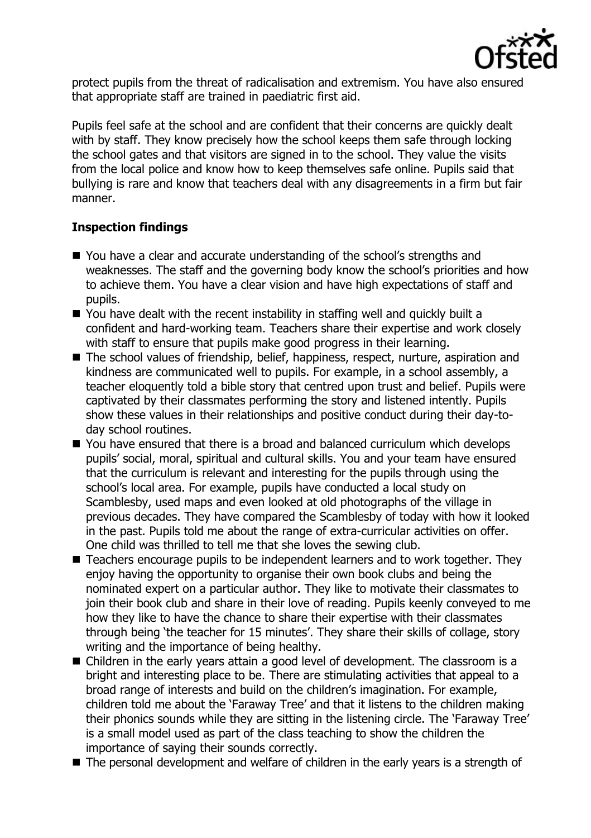

protect pupils from the threat of radicalisation and extremism. You have also ensured that appropriate staff are trained in paediatric first aid.

Pupils feel safe at the school and are confident that their concerns are quickly dealt with by staff. They know precisely how the school keeps them safe through locking the school gates and that visitors are signed in to the school. They value the visits from the local police and know how to keep themselves safe online. Pupils said that bullying is rare and know that teachers deal with any disagreements in a firm but fair manner.

# **Inspection findings**

- You have a clear and accurate understanding of the school's strengths and weaknesses. The staff and the governing body know the school's priorities and how to achieve them. You have a clear vision and have high expectations of staff and pupils.
- You have dealt with the recent instability in staffing well and quickly built a confident and hard-working team. Teachers share their expertise and work closely with staff to ensure that pupils make good progress in their learning.
- The school values of friendship, belief, happiness, respect, nurture, aspiration and kindness are communicated well to pupils. For example, in a school assembly, a teacher eloquently told a bible story that centred upon trust and belief. Pupils were captivated by their classmates performing the story and listened intently. Pupils show these values in their relationships and positive conduct during their day-today school routines.
- You have ensured that there is a broad and balanced curriculum which develops pupils' social, moral, spiritual and cultural skills. You and your team have ensured that the curriculum is relevant and interesting for the pupils through using the school's local area. For example, pupils have conducted a local study on Scamblesby, used maps and even looked at old photographs of the village in previous decades. They have compared the Scamblesby of today with how it looked in the past. Pupils told me about the range of extra-curricular activities on offer. One child was thrilled to tell me that she loves the sewing club.
- Teachers encourage pupils to be independent learners and to work together. They enjoy having the opportunity to organise their own book clubs and being the nominated expert on a particular author. They like to motivate their classmates to join their book club and share in their love of reading. Pupils keenly conveyed to me how they like to have the chance to share their expertise with their classmates through being 'the teacher for 15 minutes'. They share their skills of collage, story writing and the importance of being healthy.
- Children in the early years attain a good level of development. The classroom is a bright and interesting place to be. There are stimulating activities that appeal to a broad range of interests and build on the children's imagination. For example, children told me about the 'Faraway Tree' and that it listens to the children making their phonics sounds while they are sitting in the listening circle. The 'Faraway Tree' is a small model used as part of the class teaching to show the children the importance of saying their sounds correctly.
- The personal development and welfare of children in the early years is a strength of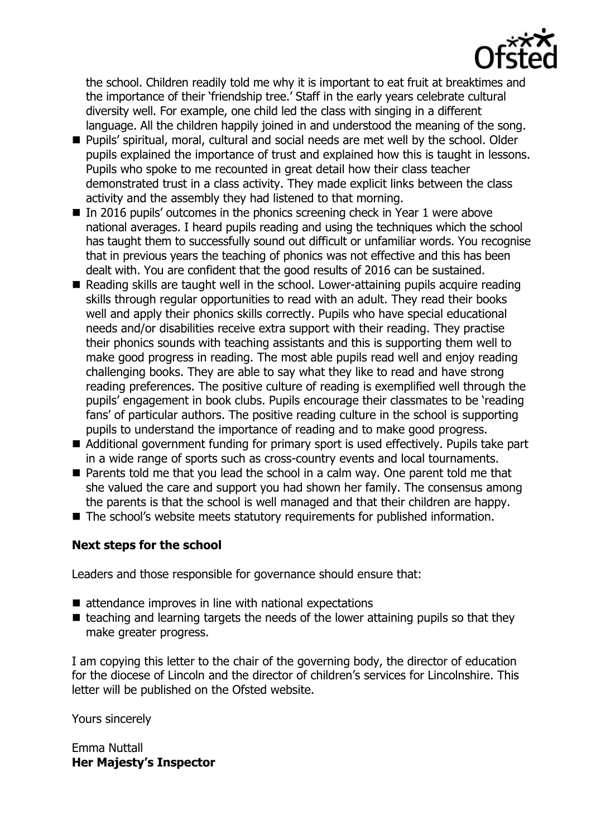

the school. Children readily told me why it is important to eat fruit at breaktimes and the importance of their 'friendship tree.' Staff in the early years celebrate cultural diversity well. For example, one child led the class with singing in a different language. All the children happily joined in and understood the meaning of the song.

- **Pupils'** spiritual, moral, cultural and social needs are met well by the school. Older pupils explained the importance of trust and explained how this is taught in lessons. Pupils who spoke to me recounted in great detail how their class teacher demonstrated trust in a class activity. They made explicit links between the class activity and the assembly they had listened to that morning.
- $\blacksquare$  In 2016 pupils' outcomes in the phonics screening check in Year 1 were above national averages. I heard pupils reading and using the techniques which the school has taught them to successfully sound out difficult or unfamiliar words. You recognise that in previous years the teaching of phonics was not effective and this has been dealt with. You are confident that the good results of 2016 can be sustained.
- Reading skills are taught well in the school. Lower-attaining pupils acquire reading skills through regular opportunities to read with an adult. They read their books well and apply their phonics skills correctly. Pupils who have special educational needs and/or disabilities receive extra support with their reading. They practise their phonics sounds with teaching assistants and this is supporting them well to make good progress in reading. The most able pupils read well and enjoy reading challenging books. They are able to say what they like to read and have strong reading preferences. The positive culture of reading is exemplified well through the pupils' engagement in book clubs. Pupils encourage their classmates to be 'reading fans' of particular authors. The positive reading culture in the school is supporting pupils to understand the importance of reading and to make good progress.
- Additional government funding for primary sport is used effectively. Pupils take part in a wide range of sports such as cross-country events and local tournaments.
- **Parents told me that you lead the school in a calm way. One parent told me that** she valued the care and support you had shown her family. The consensus among the parents is that the school is well managed and that their children are happy.
- The school's website meets statutory requirements for published information.

### **Next steps for the school**

Leaders and those responsible for governance should ensure that:

- $\blacksquare$  attendance improves in line with national expectations
- $\blacksquare$  teaching and learning targets the needs of the lower attaining pupils so that they make greater progress.

I am copying this letter to the chair of the governing body, the director of education for the diocese of Lincoln and the director of children's services for Lincolnshire. This letter will be published on the Ofsted website.

Yours sincerely

Emma Nuttall **Her Majesty's Inspector**